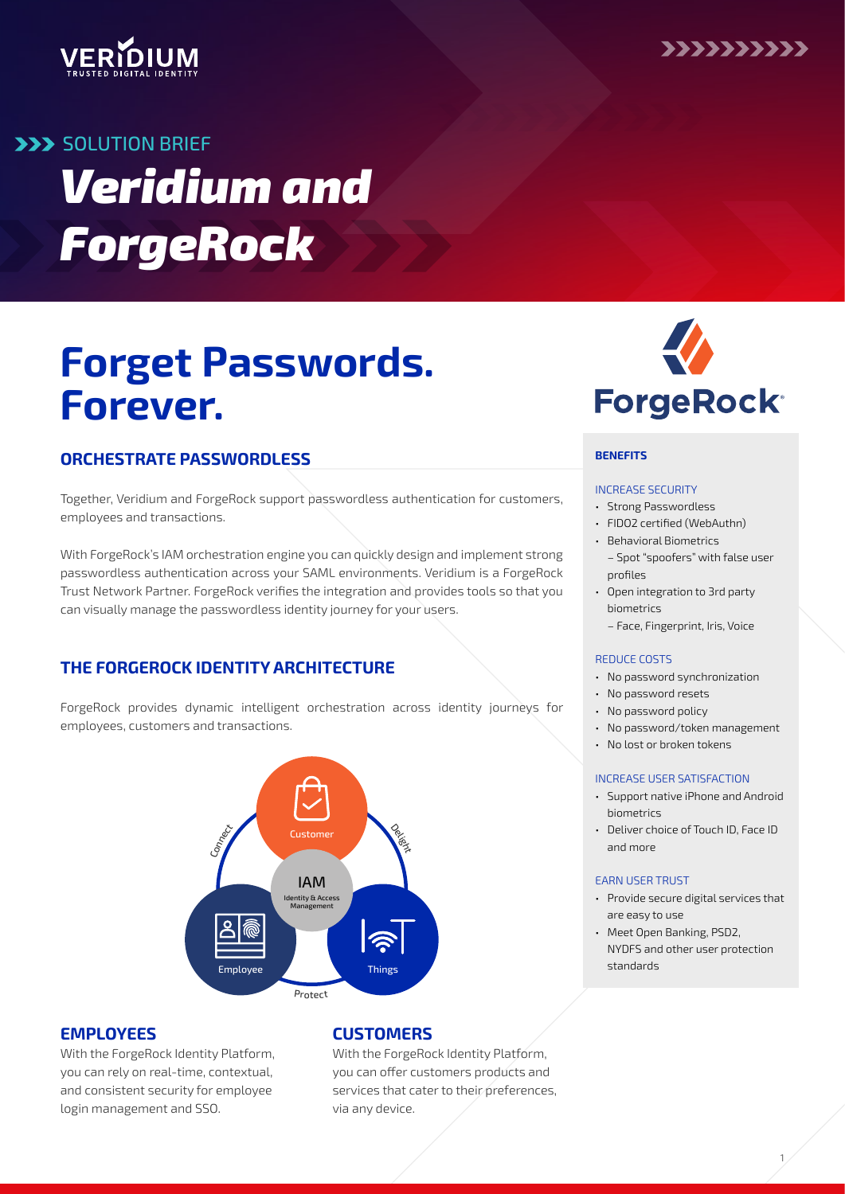



# **SOLUTION BRIEF** *Veridium and ForgeRock*

# **Forget Passwords. Forever.**

## **ORCHESTRATE PASSWORDLESS**

Together, Veridium and ForgeRock support passwordless authentication for customers, employees and transactions.

With ForgeRock's IAM orchestration engine you can quickly design and implement strong passwordless authentication across your SAML environments. Veridium is a ForgeRock Trust Network Partner. ForgeRock verifies the integration and provides tools so that you can visually manage the passwordless identity journey for your users.

## **THE FORGEROCK IDENTITY ARCHITECTURE**

ForgeRock provides dynamic intelligent orchestration across identity journeys for employees, customers and transactions.



### **EMPLOYEES**

With the ForgeRock Identity Platform, you can rely on real-time, contextual, and consistent security for employee login management and SSO.

## **CUSTOMERS**

With the ForgeRock Identity Platform, you can offer customers products and services that cater to their preferences, via any device.



#### **BENEFITS**

#### INCREASE SECURITY

- Strong Passwordless
- FIDO2 certified (WebAuthn)
- Behavioral Biometrics
	- Spot "spoofers" with false user profiles
- Open integration to 3rd party biometrics
	- Face, Fingerprint, Iris, Voice

#### REDUCE COSTS

- No password synchronization
- No password resets
- No password policy
- No password/token management
- No lost or broken tokens

#### INCREASE USER SATISFACTION

- Support native iPhone and Android biometrics
- Deliver choice of Touch ID, Face ID and more

#### EARN USER TRUST

- Provide secure digital services that are easy to use
- Meet Open Banking, PSD2, NYDFS and other user protection standards